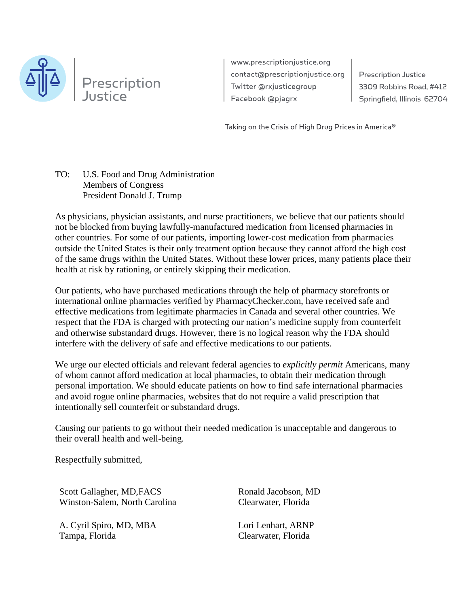

www.prescriptionjustice.org contact@prescriptionjustice.org Twitter @rxjusticegroup Facebook @pjagrx

**Prescription Justice** 3309 Robbins Road, #412 Springfield, Illinois 62704

Taking on the Crisis of High Drug Prices in America®

## TO: U.S. Food and Drug Administration Members of Congress President Donald J. Trump

As physicians, physician assistants, and nurse practitioners, we believe that our patients should not be blocked from buying lawfully-manufactured medication from licensed pharmacies in other countries. For some of our patients, importing lower-cost medication from pharmacies outside the United States is their only treatment option because they cannot afford the high cost of the same drugs within the United States. Without these lower prices, many patients place their health at risk by rationing, or entirely skipping their medication.

Our patients, who have purchased medications through the help of pharmacy storefronts or international online pharmacies verified by PharmacyChecker.com, have received safe and effective medications from legitimate pharmacies in Canada and several other countries. We respect that the FDA is charged with protecting our nation's medicine supply from counterfeit and otherwise substandard drugs. However, there is no logical reason why the FDA should interfere with the delivery of safe and effective medications to our patients.

We urge our elected officials and relevant federal agencies to *explicitly permit* Americans, many of whom cannot afford medication at local pharmacies, to obtain their medication through personal importation. We should educate patients on how to find safe international pharmacies and avoid rogue online pharmacies, websites that do not require a valid prescription that intentionally sell counterfeit or substandard drugs.

Causing our patients to go without their needed medication is unacceptable and dangerous to their overall health and well-being.

Respectfully submitted,

Scott Gallagher, MD,FACS Winston-Salem, North Carolina

A. Cyril Spiro, MD, MBA Tampa, Florida

Ronald Jacobson, MD Clearwater, Florida

Lori Lenhart, ARNP Clearwater, Florida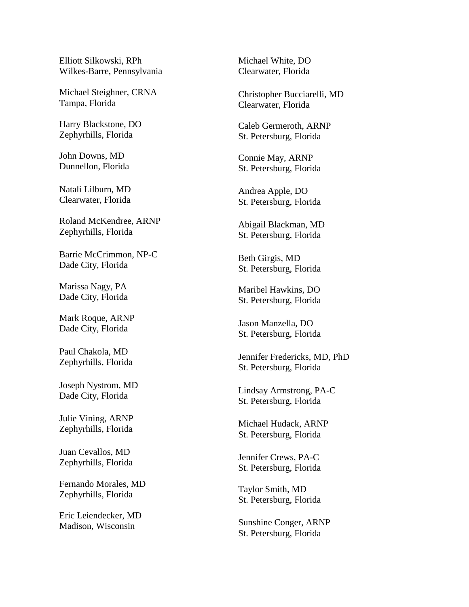Elliott Silkowski, RPh Wilkes-Barre, Pennsylvania

Michael Steighner, CRNA Tampa, Florida

Harry Blackstone, DO Zephyrhills, Florida

John Downs, MD Dunnellon, Florida

Natali Lilburn, MD Clearwater, Florida

Roland McKendree, ARNP Zephyrhills, Florida

Barrie McCrimmon, NP-C Dade City, Florida

Marissa Nagy, PA Dade City, Florida

Mark Roque, ARNP Dade City, Florida

Paul Chakola, MD Zephyrhills, Florida

Joseph Nystrom, MD Dade City, Florida

Julie Vining, ARNP Zephyrhills, Florida

Juan Cevallos, MD Zephyrhills, Florida

Fernando Morales, MD Zephyrhills, Florida

Eric Leiendecker, MD Madison, Wisconsin

Michael White, DO Clearwater, Florida

Christopher Bucciarelli, MD Clearwater, Florida

Caleb Germeroth, ARNP St. Petersburg, Florida

Connie May, ARNP St. Petersburg, Florida

Andrea Apple, DO St. Petersburg, Florida

Abigail Blackman, MD St. Petersburg, Florida

Beth Girgis, MD St. Petersburg, Florida

Maribel Hawkins, DO St. Petersburg, Florida

Jason Manzella, DO St. Petersburg, Florida

Jennifer Fredericks, MD, PhD St. Petersburg, Florida

Lindsay Armstrong, PA-C St. Petersburg, Florida

Michael Hudack, ARNP St. Petersburg, Florida

Jennifer Crews, PA-C St. Petersburg, Florida

Taylor Smith, MD St. Petersburg, Florida

Sunshine Conger, ARNP St. Petersburg, Florida